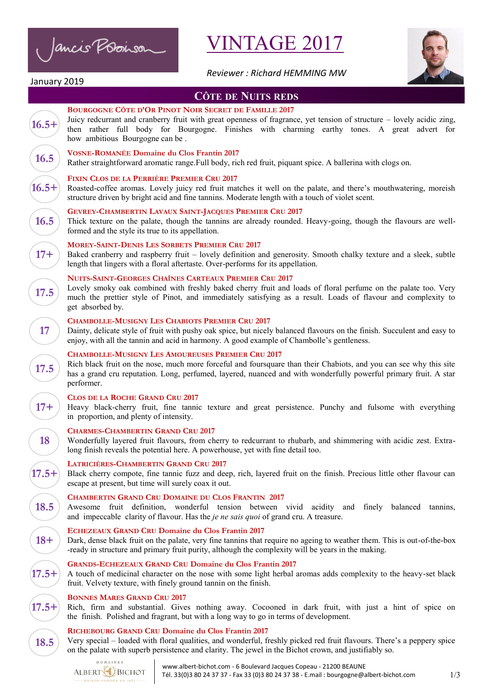Ancis Poboison

# VINTAGE 2017



*Reviewer : Richard HEMMING MW*

# January 2019

# **CÔTE DE NUITS REDS**

|         | <b>COTE DE INUITS REDS</b>                                                                                                                                                                                                                                                                                               |
|---------|--------------------------------------------------------------------------------------------------------------------------------------------------------------------------------------------------------------------------------------------------------------------------------------------------------------------------|
| $16.5+$ | <b>BOURGOGNE CÔTE D'OR PINOT NOIR SECRET DE FAMILLE 2017</b><br>Juicy redcurrant and cranberry fruit with great openness of fragrance, yet tension of structure – lovely acidic zing,<br>then rather full body for Bourgogne. Finishes with charming earthy tones. A great advert for<br>how ambitious Bourgogne can be. |
| 16.5    | <b>VOSNE-ROMANÉE Domaine du Clos Frantin 2017</b><br>Rather straightforward aromatic range. Full body, rich red fruit, piquant spice. A ballerina with clogs on.                                                                                                                                                         |
| $16.5+$ | FIXIN CLOS DE LA PERRIÈRE PREMIER CRU 2017<br>Roasted-coffee aromas. Lovely juicy red fruit matches it well on the palate, and there's mouthwatering, moreish<br>structure driven by bright acid and fine tannins. Moderate length with a touch of violet scent.                                                         |
| 16.5    | GEVREY-CHAMBERTIN LAVAUX SAINT-JACQUES PREMIER CRU 2017<br>Thick texture on the palate, though the tannins are already rounded. Heavy-going, though the flavours are well-<br>formed and the style its true to its appellation.                                                                                          |
| $17 +$  | <b>MOREY-SAINT-DENIS LES SORBETS PREMIER CRU 2017</b><br>Baked cranberry and raspberry fruit – lovely definition and generosity. Smooth chalky texture and a sleek, subtle<br>length that lingers with a floral aftertaste. Over-performs for its appellation.                                                           |
| 17.5    | <b>NUITS-SAINT-GEORGES CHAÎNES CARTEAUX PREMIER CRU 2017</b><br>Lovely smoky oak combined with freshly baked cherry fruit and loads of floral perfume on the palate too. Very<br>much the prettier style of Pinot, and immediately satisfying as a result. Loads of flavour and complexity to<br>get absorbed by.        |
| 17      | <b>CHAMBOLLE-MUSIGNY LES CHABIOTS PREMIER CRU 2017</b><br>Dainty, delicate style of fruit with pushy oak spice, but nicely balanced flavours on the finish. Succulent and easy to<br>enjoy, with all the tannin and acid in harmony. A good example of Chambolle's gentleness.                                           |
| 17.5    | <b>CHAMBOLLE-MUSIGNY LES AMOUREUSES PREMIER CRU 2017</b><br>Rich black fruit on the nose, much more forceful and foursquare than their Chabiots, and you can see why this site<br>has a grand cru reputation. Long, perfumed, layered, nuanced and with wonderfully powerful primary fruit. A star<br>performer.         |
| $17 +$  | <b>CLOS DE LA ROCHE GRAND CRU 2017</b><br>Heavy black-cherry fruit, fine tannic texture and great persistence. Punchy and fulsome with everything<br>in proportion, and plenty of intensity.                                                                                                                             |
| 18      | <b>CHARMES-CHAMBERTIN GRAND CRU 2017</b><br>Wonderfully layered fruit flavours, from cherry to redcurrant to rhubarb, and shimmering with acidic zest. Extra-<br>long finish reveals the potential here. A powerhouse, yet with fine detail too.                                                                         |
| $17.5+$ | LATRICIÈRES-CHAMBERTIN GRAND CRU 2017<br>Black cherry compote, fine tannic fuzz and deep, rich, layered fruit on the finish. Precious little other flavour can<br>escape at present, but time will surely coax it out.                                                                                                   |
| 18.5    | <b>CHAMBERTIN GRAND CRU DOMAINE DU CLOS FRANTIN 2017</b><br>Awesome fruit definition, wonderful tension between vivid acidity and finely balanced tannins,<br>and impeccable clarity of flavour. Has the je ne sais quoi of grand cru. A treasure.                                                                       |
| $18+$   | <b>ECHEZEAUX GRAND CRU Domaine du Clos Frantin 2017</b><br>Dark, dense black fruit on the palate, very fine tannins that require no ageing to weather them. This is out-of-the-box<br>-ready in structure and primary fruit purity, although the complexity will be years in the making.                                 |
| $17.5+$ | <b>GRANDS-ECHEZEAUX GRAND CRU Domaine du Clos Frantin 2017</b><br>A touch of medicinal character on the nose with some light herbal aromas adds complexity to the heavy-set black<br>fruit. Velvety texture, with finely ground tannin on the finish.                                                                    |
| $17.5+$ | <b>BONNES MARES GRAND CRU 2017</b><br>Rich, firm and substantial. Gives nothing away. Cocooned in dark fruit, with just a hint of spice on<br>the finish. Polished and fragrant, but with a long way to go in terms of development.                                                                                      |
|         | RICHEROURG GRAND CRU Domaine du Clos Frantin 2017                                                                                                                                                                                                                                                                        |

#### **RICHEBOURG GRAND CRU Domaine du Clos Frantin 2017**

Very special – loaded with floral qualities, and wonderful, freshly picked red fruit flavours. There's a peppery spice on the palate with superb persistence and clarity. The jewel in the Bichot crown, and justifiably so.

DOMAINES ALBERT<sup>Q</sup>BICHOT MAISON FONDÉE EN 1831-

**18.5**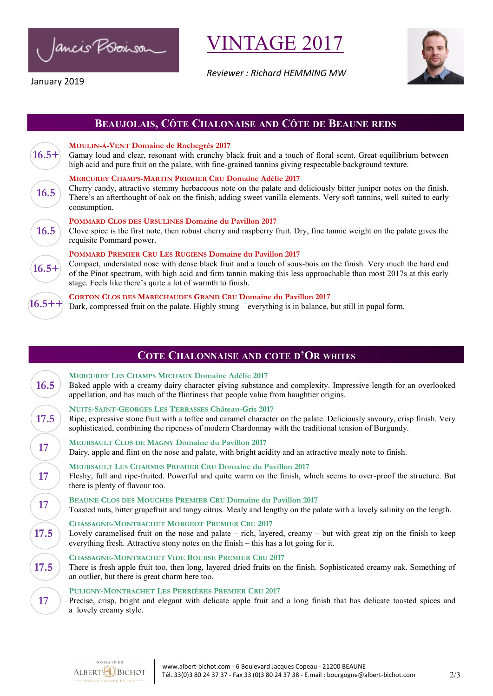Ancis Poboisor

January 2019

**INTAGE 2017** 

*Reviewer : Richard HEMMING MW*



## **BEAUJOLAIS, CÔTE CHALONAISE AND CÔTE DE BEAUNE REDS**



**16.5++**

#### **MOULIN-À-VENT Domaine de Rochegrès 2017**

Gamay loud and clear, resonant with crunchy black fruit and a touch of floral scent. Great equilibrium between high acid and pure fruit on the palate, with fine-grained tannins giving respectable background texture.

#### **MERCUREY CHAMPS-MARTIN PREMIER CRU Domaine Adélie 2017**

Cherry candy, attractive stemmy herbaceous note on the palate and deliciously bitter juniper notes on the finish. There's an afterthought of oak on the finish, adding sweet vanilla elements. Very soft tannins, well suited to early consumption.

#### **POMMARD CLOS DES URSULINES [Domaine du Pavillon](https://www.jancisrobinson.com/tastings/view/627735) 2017**

Clove spice is the first note, then robust cherry and raspberry fruit. Dry, fine tannic weight on the palate gives the requisite Pommard power.

#### **POMMARD PREMIER CRU LES RUGIENS [Domaine du Pavillon 2](https://www.jancisrobinson.com/tastings/view/627736)017**

Compact, understated nose with dense black fruit and a touch of sous-bois on the finish. Very much the hard end of the Pinot spectrum, with high acid and firm tannin making this less approachable than most 2017s at this early stage. Feels like there's quite a lot of warmth to finish.

#### **CORTON CLOS DES MARÉCHAUDES GRAND CRU Domaine du Pavillon 2017**

Dark, compressed fruit on the palate. Highly strung – everything is in balance, but still in pupal form.

### **COTE CHALONNAISE AND COTE D'OR WHITES**

| <b>16.5</b> | <b>MERCUREY LES CHAMPS MICHAUX Domaine Adélie 2017</b><br>Baked apple with a creamy dairy character giving substance and complexity. Impressive length for an overlooked<br>appellation, and has much of the flintiness that people value from haughtier origins.                             |
|-------------|-----------------------------------------------------------------------------------------------------------------------------------------------------------------------------------------------------------------------------------------------------------------------------------------------|
| 17.5        | <b>NUITS-SAINT-GEORGES LES TERRASSES Château-Gris 2017</b><br>Ripe, expressive stone fruit with a toffee and caramel character on the palate. Deliciously savoury, crisp finish. Very<br>sophisticated, combining the ripeness of modern Chardonnay with the traditional tension of Burgundy. |
| <b>17</b>   | <b>MEURSAULT CLOS DE MAGNY Domaine du Pavillon 2017</b><br>Dairy, apple and flint on the nose and palate, with bright acidity and an attractive mealy note to finish.                                                                                                                         |
| 17          | <b>MEURSAULT LES CHARMES PREMIER CRU Domaine du Pavillon 2017</b><br>Fleshy, full and ripe-fruited. Powerful and quite warm on the finish, which seems to over-proof the structure. But<br>there is plenty of flavour too.                                                                    |
| 17          | <b>BEAUNE CLOS DES MOUCHES PREMIER CRU Domaine du Pavillon 2017</b><br>Toasted nuts, bitter grapefruit and tangy citrus. Mealy and lengthy on the palate with a lovely salinity on the length.                                                                                                |
| 17.5        | <b>CHASSAGNE-MONTRACHET MORGEOT PREMIER CRU 2017</b><br>Lovely caramelised fruit on the nose and palate $-$ rich, layered, creamy $-$ but with great zip on the finish to keep<br>everything fresh. Attractive stony notes on the finish – this has a lot going for it.                       |
| 17.5        | <b>CHASSAGNE-MONTRACHET VIDE BOURSE PREMIER CRU 2017</b><br>There is fresh apple fruit too, then long, layered dried fruits on the finish. Sophisticated creamy oak. Something of<br>an outlier, but there is great charm here too.                                                           |
| 17          | <b>PULIGNY-MONTRACHET LES PERRIÈRES PREMIER CRU 2017</b><br>Precise, crisp, bright and elegant with delicate apple fruit and a long finish that has delicate toasted spices and                                                                                                               |

a lovely creamy style.